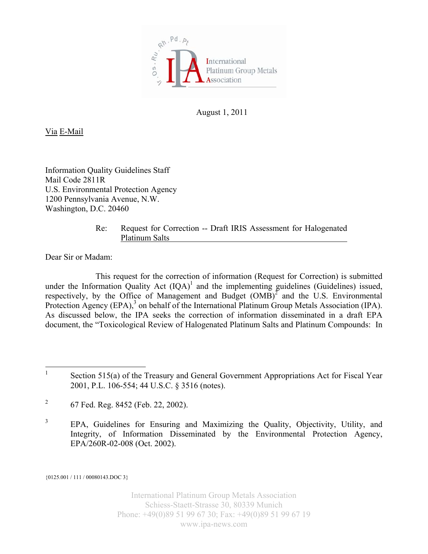

August 1, 2011

Via E-Mail

Information Quality Guidelines Staff Mail Code 2811R U.S. Environmental Protection Agency 1200 Pennsylvania Avenue, N.W. Washington, D.C. 20460

> Re: Request for Correction -- Draft IRIS Assessment for Halogenated Platinum Salts

Dear Sir or Madam:

This request for the correction of information (Request for Correction) is submitted under the Information Quality Act  $(IQA)^{1}$  and the implementing guidelines (Guidelines) issued, respectively, by the Office of Management and Budget  $(OMB)^2$  and the U.S. Environmental Protection Agency (EPA),<sup>3</sup> on behalf of the International Platinum Group Metals Association (IPA). As discussed below, the IPA seeks the correction of information disseminated in a draft EPA document, the "Toxicological Review of Halogenated Platinum Salts and Platinum Compounds: In

{0125.001 / 111 / 00080143.DOC 3}

International Platinum Group Metals Association Schiess-Staett-Strasse 30, 80339 Munich Phone: +49(0)89 51 99 67 30; Fax: +49(0)89 51 99 67 19 www.ipa-news.com

 $\frac{1}{1}$  Section 515(a) of the Treasury and General Government Appropriations Act for Fiscal Year 2001, P.L. 106-554; 44 U.S.C. § 3516 (notes).

<sup>2</sup> 67 Fed. Reg. 8452 (Feb. 22, 2002).

<sup>3</sup> EPA, Guidelines for Ensuring and Maximizing the Quality, Objectivity, Utility, and Integrity, of Information Disseminated by the Environmental Protection Agency, EPA/260R-02-008 (Oct. 2002).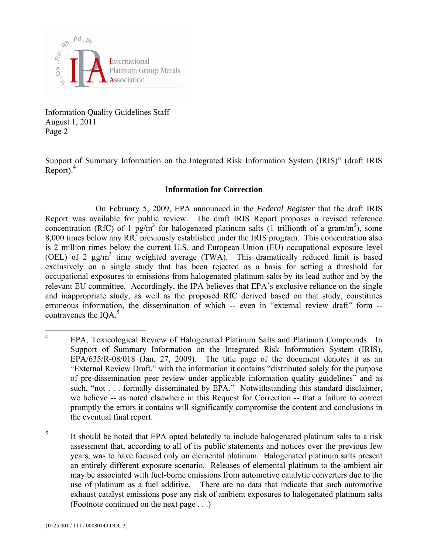

Support of Summary Information on the Integrated Risk Information System (IRIS)" (draft IRIS  $Report)$ <sup>4</sup>

## **Information for Correction**

On February 5, 2009, EPA announced in the *Federal Register* that the draft IRIS Report was available for public review. The draft IRIS Report proposes a revised reference concentration (RfC) of 1  $pg/m<sup>3</sup>$  for halogenated platinum salts (1 trillionth of a gram/m<sup>3</sup>), some 8,000 times below any RfC previously established under the IRIS program. This concentration also is 2 million times below the current U.S. and European Union (EU) occupational exposure level (OEL) of 2  $\mu$ g/m<sup>3</sup> time weighted average (TWA). This dramatically reduced limit is based exclusively on a single study that has been rejected as a basis for setting a threshold for occupational exposures to emissions from halogenated platinum salts by its lead author and by the relevant EU committee. Accordingly, the IPA believes that EPA's exclusive reliance on the single and inappropriate study, as well as the proposed RfC derived based on that study, constitutes erroneous information, the dissemination of which -- even in "external review draft" form - contravenes the  $IOA.<sup>5</sup>$ 

 $\frac{1}{4}$  EPA, Toxicological Review of Halogenated Platinum Salts and Platinum Compounds: In Support of Summary Information on the Integrated Risk Information System (IRIS), EPA/635/R-08/018 (Jan. 27, 2009). The title page of the document denotes it as an "External Review Draft," with the information it contains "distributed solely for the purpose of pre-dissemination peer review under applicable information quality guidelines" and as such, "not . . . formally disseminated by EPA." Notwithstanding this standard disclaimer, we believe -- as noted elsewhere in this Request for Correction -- that a failure to correct promptly the errors it contains will significantly compromise the content and conclusions in the eventual final report.

<sup>5</sup> It should be noted that EPA opted belatedly to include halogenated platinum salts to a risk assessment that, according to all of its public statements and notices over the previous few years, was to have focused only on elemental platinum. Halogenated platinum salts present an entirely different exposure scenario. Releases of elemental platinum to the ambient air may be associated with fuel-borne emissions from automotive catalytic converters due to the use of platinum as a fuel additive. There are no data that indicate that such automotive exhaust catalyst emissions pose any risk of ambient exposures to halogenated platinum salts (Footnote continued on the next page . . .)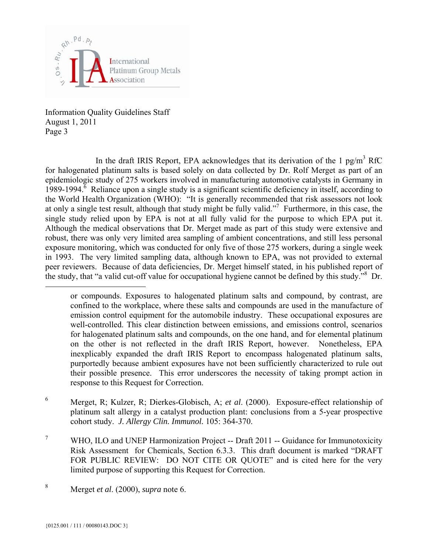

In the draft IRIS Report, EPA acknowledges that its derivation of the 1  $pg/m<sup>3</sup>$  RfC for halogenated platinum salts is based solely on data collected by Dr. Rolf Merget as part of an epidemiologic study of 275 workers involved in manufacturing automotive catalysts in Germany in  $1989-1994$ <sup>6</sup> Reliance upon a single study is a significant scientific deficiency in itself, according to the World Health Organization (WHO): "It is generally recommended that risk assessors not look at only a single test result, although that study might be fully valid."<sup>7</sup> Furthermore, in this case, the single study relied upon by EPA is not at all fully valid for the purpose to which EPA put it. Although the medical observations that Dr. Merget made as part of this study were extensive and robust, there was only very limited area sampling of ambient concentrations, and still less personal exposure monitoring, which was conducted for only five of those 275 workers, during a single week in 1993. The very limited sampling data, although known to EPA, was not provided to external peer reviewers. Because of data deficiencies, Dr. Merget himself stated, in his published report of the study, that "a valid cut-off value for occupational hygiene cannot be defined by this study."<sup>8</sup> Dr.

or compounds. Exposures to halogenated platinum salts and compound, by contrast, are confined to the workplace, where these salts and compounds are used in the manufacture of emission control equipment for the automobile industry. These occupational exposures are well-controlled. This clear distinction between emissions, and emissions control, scenarios for halogenated platinum salts and compounds, on the one hand, and for elemental platinum on the other is not reflected in the draft IRIS Report, however. Nonetheless, EPA inexplicably expanded the draft IRIS Report to encompass halogenated platinum salts, purportedly because ambient exposures have not been sufficiently characterized to rule out their possible presence. This error underscores the necessity of taking prompt action in response to this Request for Correction.

- 6 Merget, R; Kulzer, R; Dierkes-Globisch, A; *et al*. (2000). Exposure-effect relationship of platinum salt allergy in a catalyst production plant: conclusions from a 5-year prospective cohort study. *J. Allergy Clin. Immunol.* 105: 364-370.
- 7 WHO, ILO and UNEP Harmonization Project -- Draft 2011 -- Guidance for Immunotoxicity Risk Assessment for Chemicals, Section 6.3.3. This draft document is marked "DRAFT FOR PUBLIC REVIEW: DO NOT CITE OR QUOTE" and is cited here for the very limited purpose of supporting this Request for Correction.

 $\overline{a}$ 

<sup>8</sup> Merget *et al*. (2000), *supra* note 6.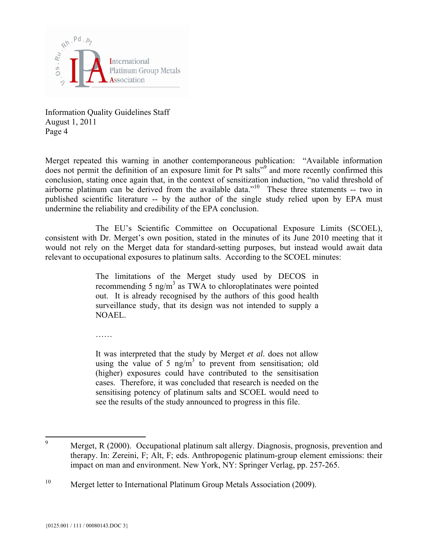

Merget repeated this warning in another contemporaneous publication: "Available information does not permit the definition of an exposure limit for Pt salts<sup>"9</sup> and more recently confirmed this conclusion, stating once again that, in the context of sensitization induction, "no valid threshold of airborne platinum can be derived from the available data."10 These three statements -- two in published scientific literature -- by the author of the single study relied upon by EPA must undermine the reliability and credibility of the EPA conclusion.

The EU's Scientific Committee on Occupational Exposure Limits (SCOEL), consistent with Dr. Merget's own position, stated in the minutes of its June 2010 meeting that it would not rely on the Merget data for standard-setting purposes, but instead would await data relevant to occupational exposures to platinum salts. According to the SCOEL minutes:

> The limitations of the Merget study used by DECOS in recommending 5 ng/m<sup>3</sup> as TWA to chloroplatinates were pointed out. It is already recognised by the authors of this good health surveillance study, that its design was not intended to supply a NOAEL.

……

It was interpreted that the study by Merget *et al.* does not allow using the value of 5  $\text{ng/m}^3$  to prevent from sensitisation; old (higher) exposures could have contributed to the sensitisation cases. Therefore, it was concluded that research is needed on the sensitising potency of platinum salts and SCOEL would need to see the results of the study announced to progress in this file.

<sup>&</sup>lt;sup>9</sup> Merget, R (2000). Occupational platinum salt allergy. Diagnosis, prognosis, prevention and therapy. In: Zereini, F; Alt, F; eds. Anthropogenic platinum-group element emissions: their impact on man and environment. New York, NY: Springer Verlag, pp. 257-265.

<sup>&</sup>lt;sup>10</sup> Merget letter to International Platinum Group Metals Association (2009).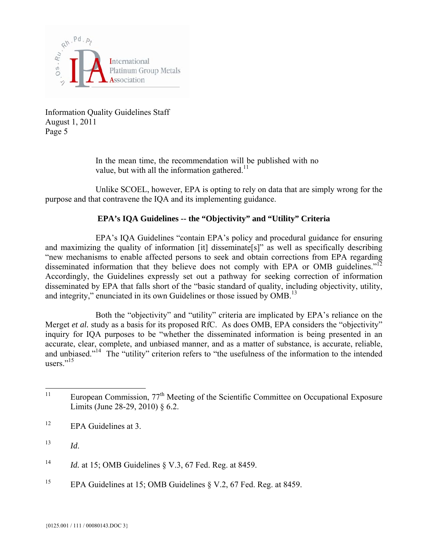

> In the mean time, the recommendation will be published with no value, but with all the information gathered.<sup>11</sup>

Unlike SCOEL, however, EPA is opting to rely on data that are simply wrong for the purpose and that contravene the IQA and its implementing guidance.

## **EPA's IQA Guidelines -- the "Objectivity" and "Utility" Criteria**

EPA's IQA Guidelines "contain EPA's policy and procedural guidance for ensuring and maximizing the quality of information [it] disseminate[s]" as well as specifically describing "new mechanisms to enable affected persons to seek and obtain corrections from EPA regarding disseminated information that they believe does not comply with EPA or OMB guidelines."<sup>12</sup> Accordingly, the Guidelines expressly set out a pathway for seeking correction of information disseminated by EPA that falls short of the "basic standard of quality, including objectivity, utility, and integrity," enunciated in its own Guidelines or those issued by OMB.<sup>13</sup>

Both the "objectivity" and "utility" criteria are implicated by EPA's reliance on the Merget *et al.* study as a basis for its proposed RfC. As does OMB, EPA considers the "objectivity" inquiry for IQA purposes to be "whether the disseminated information is being presented in an accurate, clear, complete, and unbiased manner, and as a matter of substance, is accurate, reliable, and unbiased."<sup>14</sup> The "utility" criterion refers to "the usefulness of the information to the intended users."<sup>15</sup>

<sup>15</sup> EPA Guidelines at 15; OMB Guidelines § V.2, 67 Fed. Reg. at 8459.

<sup>11</sup> European Commission, 77<sup>th</sup> Meeting of the Scientific Committee on Occupational Exposure Limits (June 28-29, 2010) § 6.2.

 $12$  EPA Guidelines at 3.

<sup>13</sup> *Id*.

<sup>14</sup> *Id.* at 15; OMB Guidelines § V.3, 67 Fed. Reg. at 8459.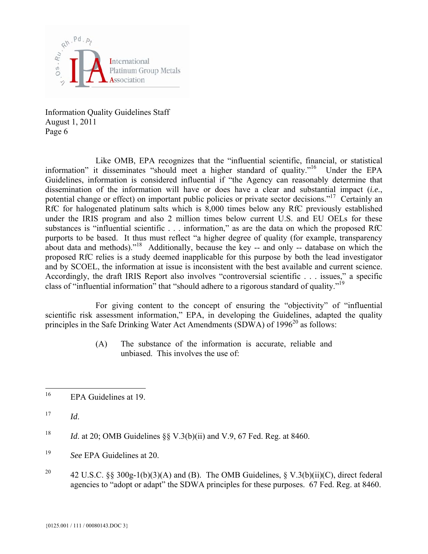

Like OMB, EPA recognizes that the "influential scientific, financial, or statistical information" it disseminates "should meet a higher standard of quality."<sup>16</sup> Under the EPA Guidelines, information is considered influential if "the Agency can reasonably determine that dissemination of the information will have or does have a clear and substantial impact (*i.e.*, potential change or effect) on important public policies or private sector decisions."<sup>17</sup> Certainly an RfC for halogenated platinum salts which is 8,000 times below any RfC previously established under the IRIS program and also 2 million times below current U.S. and EU OELs for these substances is "influential scientific . . . information," as are the data on which the proposed RfC purports to be based. It thus must reflect "a higher degree of quality (for example, transparency about data and methods)."18 Additionally, because the key -- and only -- database on which the proposed RfC relies is a study deemed inapplicable for this purpose by both the lead investigator and by SCOEL, the information at issue is inconsistent with the best available and current science. Accordingly, the draft IRIS Report also involves "controversial scientific . . . issues," a specific class of "influential information" that "should adhere to a rigorous standard of quality."<sup>19</sup>

For giving content to the concept of ensuring the "objectivity" of "influential scientific risk assessment information," EPA, in developing the Guidelines, adapted the quality principles in the Safe Drinking Water Act Amendments (SDWA) of  $1996^{20}$  as follows:

> (A) The substance of the information is accurate, reliable and unbiased. This involves the use of:

- $17$  *Id.*
- <sup>18</sup> *Id.* at 20; OMB Guidelines  $\&8$  V.3(b)(ii) and V.9, 67 Fed. Reg. at 8460.
- 19 *See* EPA Guidelines at 20.
- <sup>20</sup> 42 U.S.C. §§ 300g-1(b)(3)(A) and (B). The OMB Guidelines, § V.3(b)(ii)(C), direct federal agencies to "adopt or adapt" the SDWA principles for these purposes. 67 Fed. Reg. at 8460.

<sup>16</sup> EPA Guidelines at 19.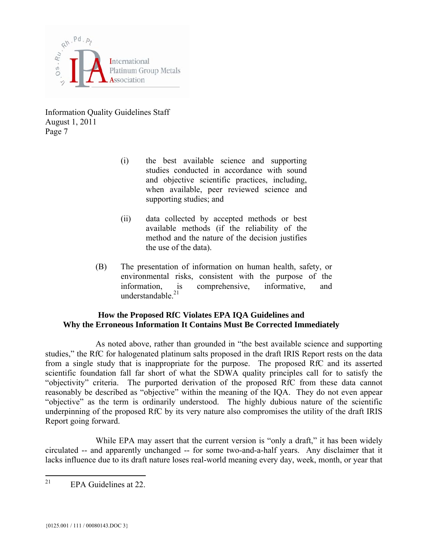

- (i) the best available science and supporting studies conducted in accordance with sound and objective scientific practices, including, when available, peer reviewed science and supporting studies; and
- (ii) data collected by accepted methods or best available methods (if the reliability of the method and the nature of the decision justifies the use of the data).
- (B) The presentation of information on human health, safety, or environmental risks, consistent with the purpose of the information, is comprehensive, informative, and understandable. $21$

## **How the Proposed RfC Violates EPA IQA Guidelines and Why the Erroneous Information It Contains Must Be Corrected Immediately**

As noted above, rather than grounded in "the best available science and supporting studies," the RfC for halogenated platinum salts proposed in the draft IRIS Report rests on the data from a single study that is inappropriate for the purpose. The proposed RfC and its asserted scientific foundation fall far short of what the SDWA quality principles call for to satisfy the "objectivity" criteria. The purported derivation of the proposed RfC from these data cannot reasonably be described as "objective" within the meaning of the IQA. They do not even appear "objective" as the term is ordinarily understood. The highly dubious nature of the scientific underpinning of the proposed RfC by its very nature also compromises the utility of the draft IRIS Report going forward.

While EPA may assert that the current version is "only a draft," it has been widely circulated -- and apparently unchanged -- for some two-and-a-half years. Any disclaimer that it lacks influence due to its draft nature loses real-world meaning every day, week, month, or year that

<sup>21</sup> EPA Guidelines at 22.